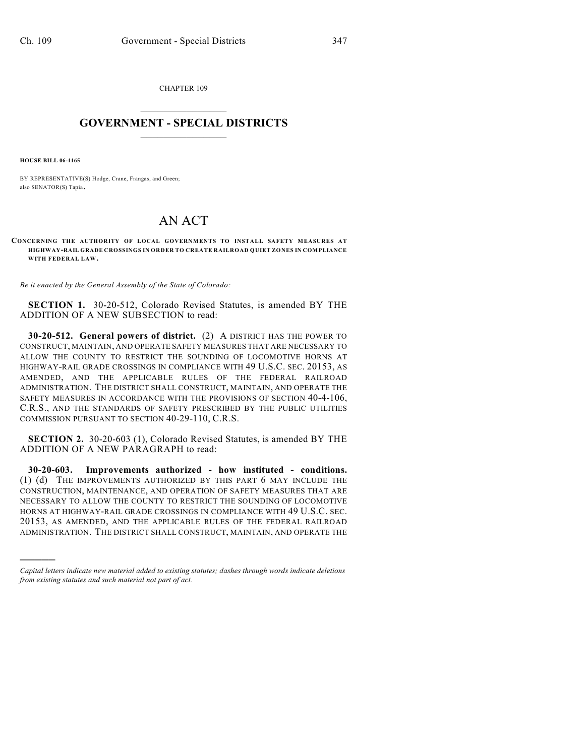CHAPTER 109

## $\overline{\phantom{a}}$  . The set of the set of the set of the set of the set of the set of the set of the set of the set of the set of the set of the set of the set of the set of the set of the set of the set of the set of the set o **GOVERNMENT - SPECIAL DISTRICTS**  $\_$

**HOUSE BILL 06-1165**

)))))

BY REPRESENTATIVE(S) Hodge, Crane, Frangas, and Green; also SENATOR(S) Tapia.

## AN ACT

**CONCERNING THE AUTHORITY OF LOCAL GOVERNMENTS TO INSTALL SAFETY MEASURES AT HIGHWAY-RAIL GRADE CROSSINGS IN ORDER TO CREATE RAILROAD QUIET ZONES IN COMPLIANCE WITH FEDERAL LAW.**

*Be it enacted by the General Assembly of the State of Colorado:*

**SECTION 1.** 30-20-512, Colorado Revised Statutes, is amended BY THE ADDITION OF A NEW SUBSECTION to read:

**30-20-512. General powers of district.** (2) A DISTRICT HAS THE POWER TO CONSTRUCT, MAINTAIN, AND OPERATE SAFETY MEASURES THAT ARE NECESSARY TO ALLOW THE COUNTY TO RESTRICT THE SOUNDING OF LOCOMOTIVE HORNS AT HIGHWAY-RAIL GRADE CROSSINGS IN COMPLIANCE WITH 49 U.S.C. SEC. 20153, AS AMENDED, AND THE APPLICABLE RULES OF THE FEDERAL RAILROAD ADMINISTRATION. THE DISTRICT SHALL CONSTRUCT, MAINTAIN, AND OPERATE THE SAFETY MEASURES IN ACCORDANCE WITH THE PROVISIONS OF SECTION 40-4-106, C.R.S., AND THE STANDARDS OF SAFETY PRESCRIBED BY THE PUBLIC UTILITIES COMMISSION PURSUANT TO SECTION 40-29-110, C.R.S.

**SECTION 2.** 30-20-603 (1), Colorado Revised Statutes, is amended BY THE ADDITION OF A NEW PARAGRAPH to read:

**30-20-603. Improvements authorized - how instituted - conditions.** (1) (d) THE IMPROVEMENTS AUTHORIZED BY THIS PART 6 MAY INCLUDE THE CONSTRUCTION, MAINTENANCE, AND OPERATION OF SAFETY MEASURES THAT ARE NECESSARY TO ALLOW THE COUNTY TO RESTRICT THE SOUNDING OF LOCOMOTIVE HORNS AT HIGHWAY-RAIL GRADE CROSSINGS IN COMPLIANCE WITH 49 U.S.C. SEC. 20153, AS AMENDED, AND THE APPLICABLE RULES OF THE FEDERAL RAILROAD ADMINISTRATION. THE DISTRICT SHALL CONSTRUCT, MAINTAIN, AND OPERATE THE

*Capital letters indicate new material added to existing statutes; dashes through words indicate deletions from existing statutes and such material not part of act.*